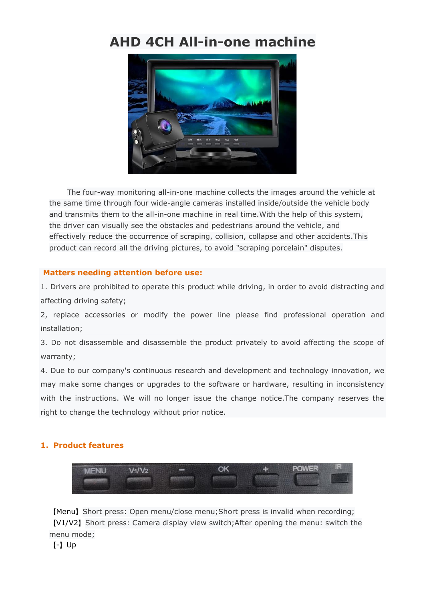# **AHD 4CH All-in-one machine**



The four-way monitoring all-in-one machine collects the images around the vehicle at the same time through four wide-angle cameras installed inside/outside the vehicle body and transmits them to the all-in-one machine in real time.With the help of this system, the driver can visually see the obstacles and pedestrians around the vehicle, and effectively reduce the occurrence of scraping, collision, collapse and other accidents.This product can record all the driving pictures, to avoid "scraping porcelain" disputes.

## **Matters needing attention before use:**

1. Drivers are prohibited to operate this product while driving, in order to avoid distracting and affecting driving safety;

2, replace accessories or modify the power line please find professional operation and installation;

3. Do not disassemble and disassemble the product privately to avoid affecting the scope of warranty;

4. Due to our company's continuous research and development and technology innovation, we may make some changes or upgrades to the software or hardware, resulting in inconsistency with the instructions. We will no longer issue the change notice.The company reserves the right to change the technology without prior notice.

## **1. Product features**



【Menu】Short press: Open menu/close menu;Short press is invalid when recording; 【V1/V2】Short press: Camera display view switch;After opening the menu: switch the menu mode;

【-】Up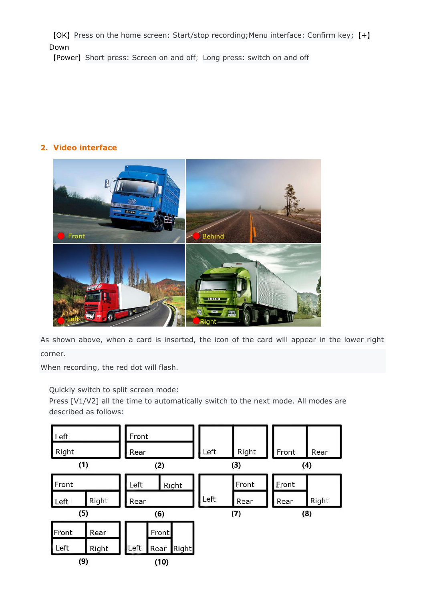【OK】Press on the home screen: Start/stop recording;Menu interface: Confirm key;【+】 Down

【Power】Short press: Screen on and off;Long press: switch on and off

# **2. Video interface**



As shown above, when a card is inserted, the icon of the card will appear in the lower right corner.

When recording, the red dot will flash.

Quickly switch to split screen mode:

Press [V1/V2] all the time to automatically switch to the next mode. All modes are described as follows:

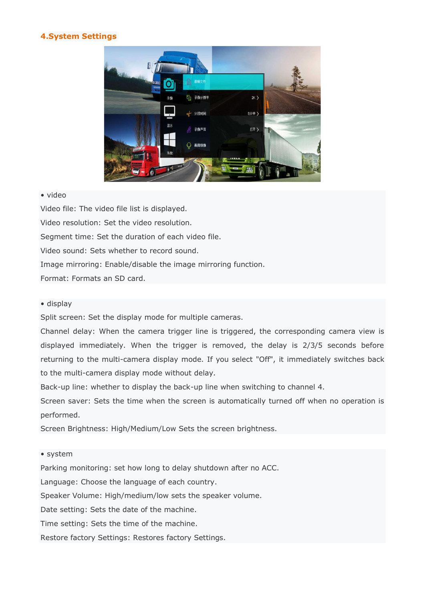## **4.System Settings**



### • video

Video file: The video file list is displayed. Video resolution: Set the video resolution. Segment time: Set the duration of each video file. Video sound: Sets whether to record sound. Image mirroring: Enable/disable the image mirroring function. Format: Formats an SD card.

#### • display

Split screen: Set the display mode for multiple cameras.

Channel delay: When the camera trigger line is triggered, the corresponding camera view is displayed immediately. When the trigger is removed, the delay is 2/3/5 seconds before returning to the multi-camera display mode. If you select "Off", it immediately switches back to the multi-camera display mode without delay.

Back-up line: whether to display the back-up line when switching to channel 4.

Screen saver: Sets the time when the screen is automatically turned off when no operation is performed.

Screen Brightness: High/Medium/Low Sets the screen brightness.

#### • system

Parking monitoring: set how long to delay shutdown after no ACC.

Language: Choose the language of each country.

Speaker Volume: High/medium/low sets the speaker volume.

Date setting: Sets the date of the machine.

Time setting: Sets the time of the machine.

Restore factory Settings: Restores factory Settings.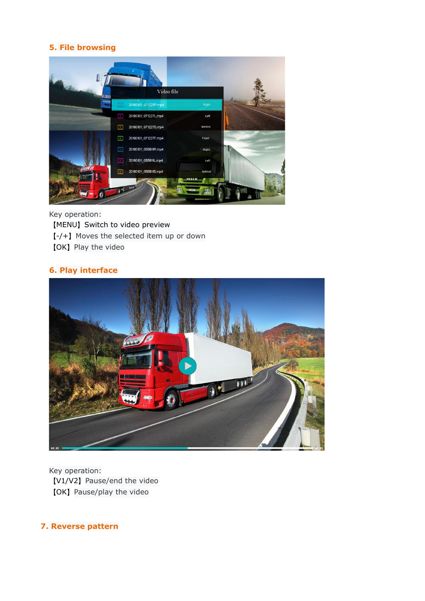# **5. File browsing**



Key operation: 【MENU】Switch to video preview 【-/+】Moves the selected item up or down 【OK】Play the video

## **6. Play interface**



Key operation: 【V1/V2】Pause/end the video 【OK】Pause/play the video

**7. Reverse pattern**